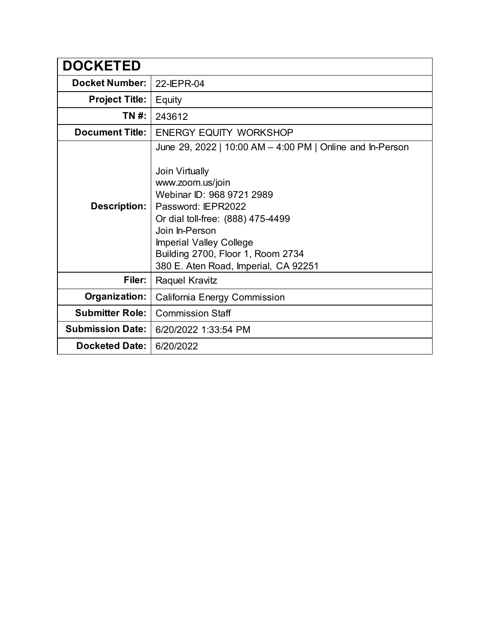| <b>DOCKETED</b>         |                                                                                                                                                                                                                                                                                                                          |
|-------------------------|--------------------------------------------------------------------------------------------------------------------------------------------------------------------------------------------------------------------------------------------------------------------------------------------------------------------------|
| <b>Docket Number:</b>   | 22-IEPR-04                                                                                                                                                                                                                                                                                                               |
| <b>Project Title:</b>   | Equity                                                                                                                                                                                                                                                                                                                   |
| TN #:                   | 243612                                                                                                                                                                                                                                                                                                                   |
| <b>Document Title:</b>  | <b>ENERGY EQUITY WORKSHOP</b>                                                                                                                                                                                                                                                                                            |
| Description:            | June 29, 2022   10:00 AM - 4:00 PM   Online and In-Person<br>Join Virtually<br>www.zoom.us/join<br>Webinar ID: 968 9721 2989<br>Password: IEPR2022<br>Or dial toll-free: (888) 475-4499<br>Join In-Person<br><b>Imperial Valley College</b><br>Building 2700, Floor 1, Room 2734<br>380 E. Aten Road, Imperial, CA 92251 |
| Filer:                  | Raquel Kravitz                                                                                                                                                                                                                                                                                                           |
| Organization:           | <b>California Energy Commission</b>                                                                                                                                                                                                                                                                                      |
| <b>Submitter Role:</b>  | <b>Commission Staff</b>                                                                                                                                                                                                                                                                                                  |
| <b>Submission Date:</b> | 6/20/2022 1:33:54 PM                                                                                                                                                                                                                                                                                                     |
| Docketed Date: I        | 6/20/2022                                                                                                                                                                                                                                                                                                                |